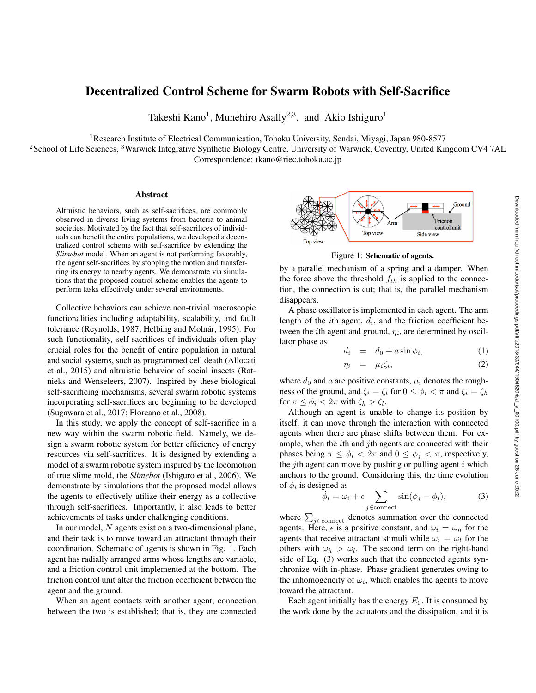## Decentralized Control Scheme for Swarm Robots with Self-Sacrifice

Takeshi Kano<sup>1</sup>, Munehiro Asally<sup>2,3</sup>, and Akio Ishiguro<sup>1</sup>

<sup>1</sup>Research Institute of Electrical Communication, Tohoku University, Sendai, Miyagi, Japan 980-8577

<sup>2</sup>School of Life Sciences, <sup>3</sup>Warwick Integrative Synthetic Biology Centre, University of Warwick, Coventry, United Kingdom CV4 7AL Correspondence: tkano@riec.tohoku.ac.jp

## Abstract

Altruistic behaviors, such as self-sacrifices, are commonly observed in diverse living systems from bacteria to animal societies. Motivated by the fact that self-sacrifices of individuals can benefit the entire populations, we developed a decentralized control scheme with self-sacrifice by extending the *Slimebot* model. When an agent is not performing favorably, the agent self-sacrifices by stopping the motion and transferring its energy to nearby agents. We demonstrate via simulations that the proposed control scheme enables the agents to perform tasks effectively under several environments.

Collective behaviors can achieve non-trivial macroscopic functionalities including adaptability, scalability, and fault tolerance (Reynolds, 1987; Helbing and Molnár, 1995). For such functionality, self-sacrifices of individuals often play crucial roles for the benefit of entire population in natural and social systems, such as programmed cell death (Allocati et al., 2015) and altruistic behavior of social insects (Ratnieks and Wenseleers, 2007). Inspired by these biological self-sacrificing mechanisms, several swarm robotic systems incorporating self-sacrifices are beginning to be developed (Sugawara et al., 2017; Floreano et al., 2008).

In this study, we apply the concept of self-sacrifice in a new way within the swarm robotic field. Namely, we design a swarm robotic system for better efficiency of energy resources via self-sacrifices. It is designed by extending a model of a swarm robotic system inspired by the locomotion of true slime mold, the *Slimebot* (Ishiguro et al., 2006). We demonstrate by simulations that the proposed model allows the agents to effectively utilize their energy as a collective through self-sacrifices. Importantly, it also leads to better achievements of tasks under challenging conditions.

In our model, *N* agents exist on a two-dimensional plane, and their task is to move toward an attractant through their coordination. Schematic of agents is shown in Fig. 1. Each agent has radially arranged arms whose lengths are variable, and a friction control unit implemented at the bottom. The friction control unit alter the friction coefficient between the agent and the ground.

When an agent contacts with another agent, connection between the two is established; that is, they are connected



Figure 1: Schematic of agents.

by a parallel mechanism of a spring and a damper. When the force above the threshold *fth* is applied to the connection, the connection is cut; that is, the parallel mechanism disappears.

A phase oscillator is implemented in each agent. The arm length of the *i*th agent, *d<sup>i</sup>* , and the friction coefficient between the *i*th agent and ground,  $\eta_i$ , are determined by oscillator phase as

$$
d_i = d_0 + a \sin \phi_i, \tag{1}
$$

$$
\eta_i = \mu_i \zeta_i, \tag{2}
$$

where  $d_0$  and  $a$  are positive constants,  $\mu_i$  denotes the roughness of the ground, and  $\zeta_i = \zeta_l$  for  $0 \leq \phi_i < \pi$  and  $\zeta_i = \zeta_h$ for  $\pi \leq \phi_i < 2\pi$  with  $\zeta_h > \zeta_l$ .

Although an agent is unable to change its position by itself, it can move through the interaction with connected agents when there are phase shifts between them. For example, when the *i*th and *j*th agents are connected with their phases being  $\pi \leq \phi_i < 2\pi$  and  $0 \leq \phi_i < \pi$ , respectively, the *j*th agent can move by pushing or pulling agent *i* which anchors to the ground. Considering this, the time evolution of  $\phi_i$  is designed as

$$
\ddot{\phi}_i = \omega_i + \epsilon \sum_{j \in \text{connect}} \sin(\phi_j - \phi_i), \tag{3}
$$

where  $\sum_{j \in \text{connect}}$  denotes summation over the connected agents. Here,  $\epsilon$  is a positive constant, and  $\omega_i = \omega_h$  for the agents that receive attractant stimuli while  $\omega_i = \omega_l$  for the others with  $\omega_h > \omega_l$ . The second term on the right-hand side of Eq. (3) works such that the connected agents synchronize with in-phase. Phase gradient generates owing to the inhomogeneity of  $\omega_i$ , which enables the agents to move toward the attractant.

Each agent initially has the energy  $E_0$ . It is consumed by the work done by the actuators and the dissipation, and it is